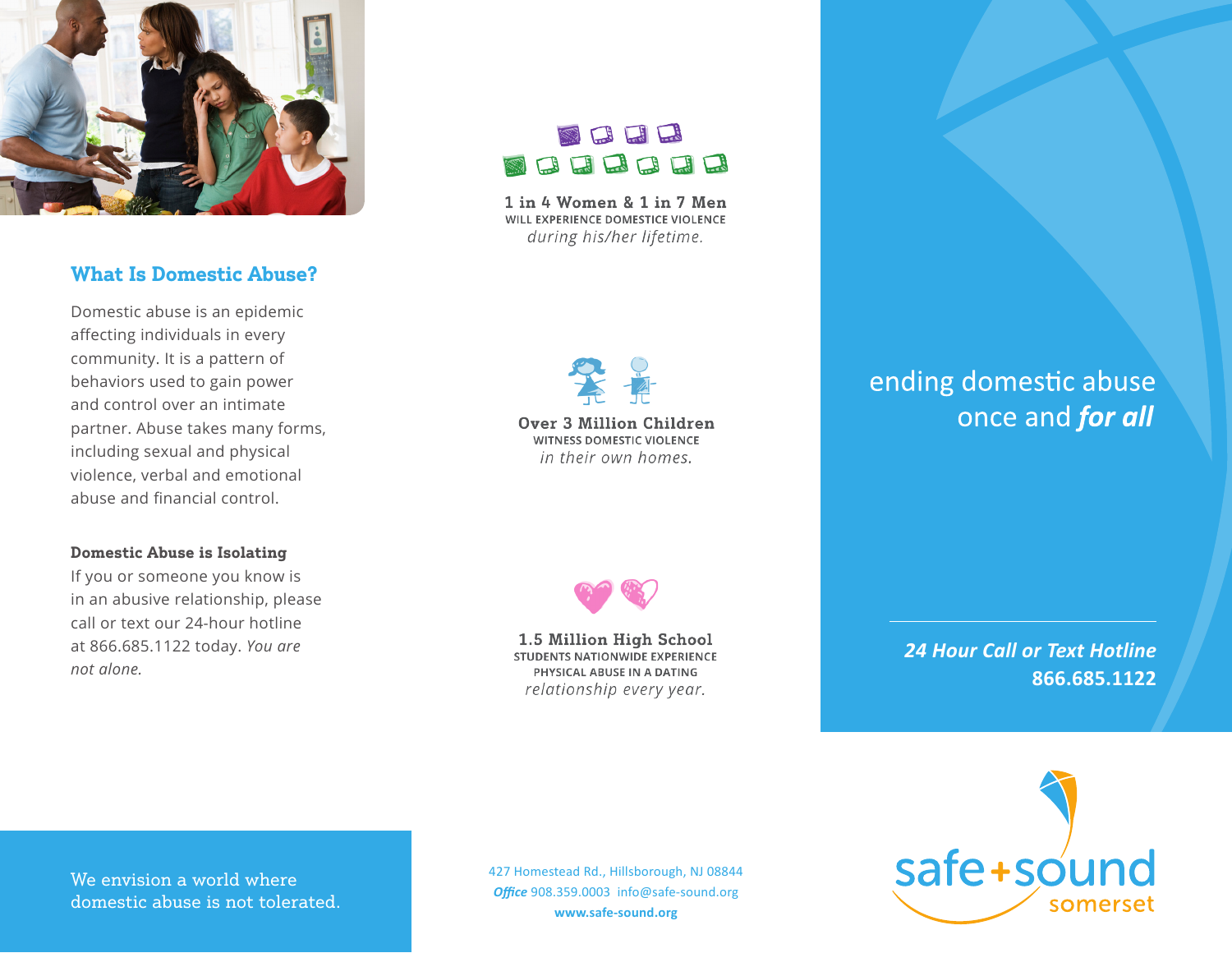

# **What Is Domestic Abuse?**

Domestic abuse is an epidemic affecting individuals in every community. It is a pattern of behaviors used to gain power and control over an intimate partner. Abuse takes many forms, including sexual and physical violence, verbal and emotional abuse and financial control.

### **Domestic Abuse is Isolating**

If you or someone you know is in an abusive relationship, please call or text our 24-hour hotline at 866.685.1122 today. *You are not alone.*

# BLL BEBBEB

1 in 4 Women & 1 in 7 Men WILL EXPERIENCE DOMESTICE VIOLENCE during his/her lifetime.

**Over 3 Million Children WITNESS DOMESTIC VIOLENCE** in their own homes.

# ending domestic abuse once and for all



1.5 Million High School **STUDENTS NATIONWIDE EXPERIENCE** PHYSICAL ABUSE IN A DATING relationship every year.

*24 Hour Call or Text Hotline*  **866.685.1122**



We envision a world where domestic abuse is not tolerated. 427 Homestead Rd., Hillsborough, NJ 08844 *Office* 908.359.0003 info@safe-sound.org **www.safe-sound.org**